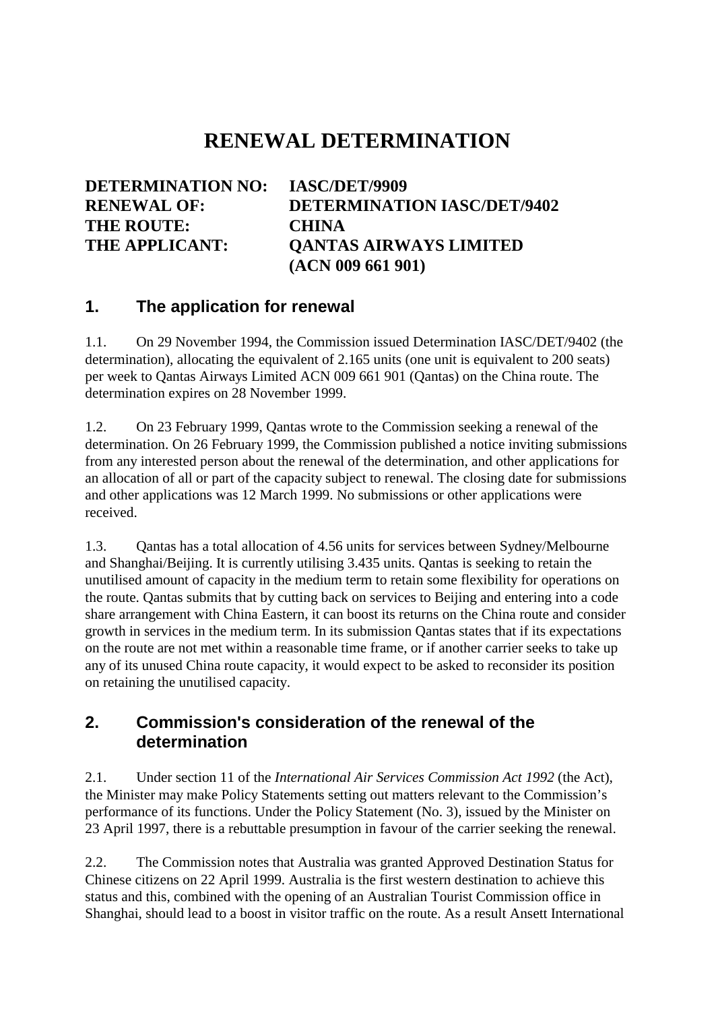## **RENEWAL DETERMINATION**

| DETERMINATION NO: IASC/DET/9909 |                                    |
|---------------------------------|------------------------------------|
| <b>RENEWAL OF:</b>              | <b>DETERMINATION IASC/DET/9402</b> |
| <b>THE ROUTE:</b>               | <b>CHINA</b>                       |
| <b>THE APPLICANT:</b>           | <b>QANTAS AIRWAYS LIMITED</b>      |
|                                 | (ACN 009 661 901)                  |

## **1. The application for renewal**

1.1. On 29 November 1994, the Commission issued Determination IASC/DET/9402 (the determination), allocating the equivalent of 2.165 units (one unit is equivalent to 200 seats) per week to Qantas Airways Limited ACN 009 661 901 (Qantas) on the China route. The determination expires on 28 November 1999.

1.2. On 23 February 1999, Qantas wrote to the Commission seeking a renewal of the determination. On 26 February 1999, the Commission published a notice inviting submissions from any interested person about the renewal of the determination, and other applications for an allocation of all or part of the capacity subject to renewal. The closing date for submissions and other applications was 12 March 1999. No submissions or other applications were received.

1.3. Qantas has a total allocation of 4.56 units for services between Sydney/Melbourne and Shanghai/Beijing. It is currently utilising 3.435 units. Qantas is seeking to retain the unutilised amount of capacity in the medium term to retain some flexibility for operations on the route. Qantas submits that by cutting back on services to Beijing and entering into a code share arrangement with China Eastern, it can boost its returns on the China route and consider growth in services in the medium term. In its submission Qantas states that if its expectations on the route are not met within a reasonable time frame, or if another carrier seeks to take up any of its unused China route capacity, it would expect to be asked to reconsider its position on retaining the unutilised capacity.

## **2. Commission's consideration of the renewal of the determination**

2.1. Under section 11 of the *International Air Services Commission Act 1992* (the Act), the Minister may make Policy Statements setting out matters relevant to the Commission's performance of its functions. Under the Policy Statement (No. 3), issued by the Minister on 23 April 1997, there is a rebuttable presumption in favour of the carrier seeking the renewal.

2.2. The Commission notes that Australia was granted Approved Destination Status for Chinese citizens on 22 April 1999. Australia is the first western destination to achieve this status and this, combined with the opening of an Australian Tourist Commission office in Shanghai, should lead to a boost in visitor traffic on the route. As a result Ansett International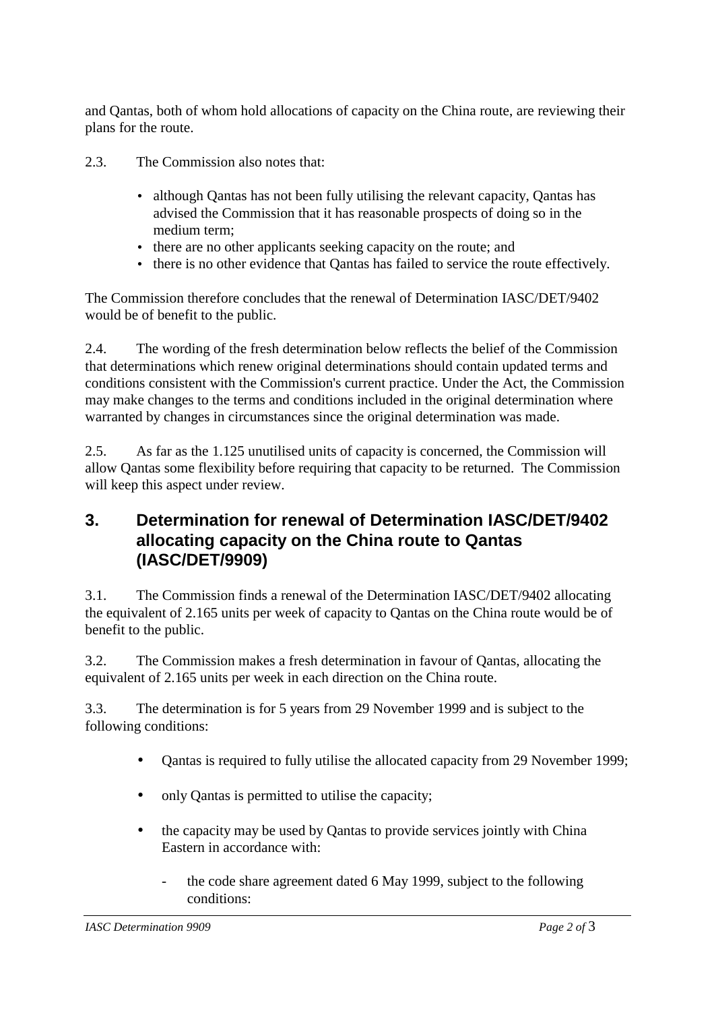and Qantas, both of whom hold allocations of capacity on the China route, are reviewing their plans for the route.

- 2.3. The Commission also notes that:
	- although Qantas has not been fully utilising the relevant capacity, Qantas has advised the Commission that it has reasonable prospects of doing so in the medium term;
	- there are no other applicants seeking capacity on the route; and
	- there is no other evidence that Qantas has failed to service the route effectively.

The Commission therefore concludes that the renewal of Determination IASC/DET/9402 would be of benefit to the public.

2.4. The wording of the fresh determination below reflects the belief of the Commission that determinations which renew original determinations should contain updated terms and conditions consistent with the Commission's current practice. Under the Act, the Commission may make changes to the terms and conditions included in the original determination where warranted by changes in circumstances since the original determination was made.

2.5. As far as the 1.125 unutilised units of capacity is concerned, the Commission will allow Qantas some flexibility before requiring that capacity to be returned. The Commission will keep this aspect under review.

## **3. Determination for renewal of Determination IASC/DET/9402 allocating capacity on the China route to Qantas (IASC/DET/9909)**

3.1. The Commission finds a renewal of the Determination IASC/DET/9402 allocating the equivalent of 2.165 units per week of capacity to Qantas on the China route would be of benefit to the public.

3.2. The Commission makes a fresh determination in favour of Qantas, allocating the equivalent of 2.165 units per week in each direction on the China route.

3.3. The determination is for 5 years from 29 November 1999 and is subject to the following conditions:

- Cantas is required to fully utilise the allocated capacity from 29 November 1999;
- only Oantas is permitted to utilise the capacity;
- the capacity may be used by Qantas to provide services jointly with China Eastern in accordance with:
	- the code share agreement dated 6 May 1999, subject to the following conditions: